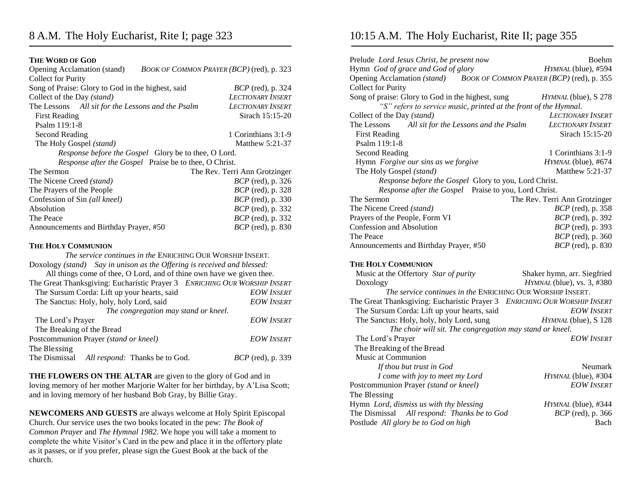## **THE WORD OF GOD**

| <b>Opening Acclamation (stand)</b>                            | BOOK OF COMMON PRAYER (BCP) (red), p. 323 |  |
|---------------------------------------------------------------|-------------------------------------------|--|
| <b>Collect for Purity</b>                                     |                                           |  |
| Song of Praise: Glory to God in the highest, said             | <i>BCP</i> (red), p. 324                  |  |
| Collect of the Day (stand)                                    | <b>LECTIONARY INSERT</b>                  |  |
| The Lessons All sit for the Lessons and the Psalm             | <b>LECTIONARY INSERT</b>                  |  |
| <b>First Reading</b>                                          | Sirach 15:15-20                           |  |
| Psalm 119:1-8                                                 |                                           |  |
| Second Reading                                                | 1 Corinthians 3:1-9                       |  |
| The Holy Gospel (stand)                                       | Matthew $5:21-37$                         |  |
| <i>Response before the Gospel</i> Glory be to thee, O Lord.   |                                           |  |
| <i>Response after the Gospel</i> Praise be to thee, O Christ. |                                           |  |
|                                                               |                                           |  |
| The Sermon                                                    | The Rev. Terri Ann Grotzinger             |  |
| The Nicene Creed (stand)                                      | $BCP$ (red), p. 326                       |  |
| The Prayers of the People                                     | <i>BCP</i> (red), p. 328                  |  |
| Confession of Sin (all kneel)                                 | <i>BCP</i> (red), p. 330                  |  |
| Absolution                                                    | <i>BCP</i> (red), p. 332                  |  |
| The Peace                                                     | <i>BCP</i> (red), p. 332                  |  |

#### **THE HOLY COMMUNION**

*The service continues in the* ENRICHING OUR WORSHIP INSERT. Doxology *(stand) Say in unison as the Offering is received and blessed:* All things come of thee, O Lord, and of thine own have we given thee. The Great Thanksgiving: Eucharistic Prayer 3 *ENRICHING OUR WORSHIP INSERT* The Sursum Corda: Lift up your hearts, said *EOW INSERT* The Sanctus: Holy, holy, holy Lord, said *EOW INSERT The congregation may stand or kneel.* The Lord's Prayer *EOW INSERT* The Breaking of the Bread Postcommunion Prayer *(stand or kneel) EOW INSERT* The Blessing The Dismissal *All respond:* Thanks be to God. *BCP* (red)*,* p. 339

**THE FLOWERS ON THE ALTAR** are given to the glory of God and in loving memory of her mother Marjorie Walter for her birthday, by A'Lisa Scott; and in loving memory of her husband Bob Gray, by Billie Gray.

**NEWCOMERS AND GUESTS** are always welcome at Holy Spirit Episcopal Church. Our service uses the two books located in the pew: *The Book of Common Prayer* and *The Hymnal 1982.* We hope you will take a moment to complete the white Visitor's Card in the pew and place it in the offertory plate as it passes, or if you prefer, please sign the Guest Book at the back of the church.

## 10:15 A.M. The Holy Eucharist, Rite II; page 355

| Opening Acclamation (stand) BOOK OF COMMON PRAYER (BCP) (red), p. 355<br><b>Collect for Purity</b><br>Song of praise: Glory to God in the highest, sung<br>HYMNAL (blue), S 278<br>"S" refers to service music, printed at the front of the Hymnal.<br>LECTIONARY INSERT<br>Collect of the Day (stand)<br>The Lessons<br>All sit for the Lessons and the Psalm<br><b>LECTIONARY INSERT</b><br>Sirach 15:15-20<br><b>First Reading</b><br>Psalm 119:1-8<br><b>Second Reading</b><br>1 Corinthians 3:1-9<br>Hymn Forgive our sins as we forgive<br>HYMNAL (blue), #674<br>The Holy Gospel (stand)<br>Matthew 5:21-37<br>Response before the Gospel Glory to you, Lord Christ.<br>Response after the Gospel Praise to you, Lord Christ.<br>The Rev. Terri Ann Grotzinger<br>The Sermon<br>The Nicene Creed (stand)<br><i>BCP</i> (red), p. 358<br>Prayers of the People, Form VI<br><i>BCP</i> (red), p. 392<br><b>Confession and Absolution</b><br><i>BCP</i> (red), p. 393<br>The Peace<br><i>BCP</i> (red), p. 360<br><i>BCP</i> (red), p. 830<br>Announcements and Birthday Prayer, #50<br><b>THE HOLY COMMUNION</b><br>Music at the Offertory Star of purity<br>Shaker hymn, arr. Siegfried<br>HYMNAL (blue), vs. 3, #380<br>Doxology<br>The service continues in the ENRICHING OUR WORSHIP INSERT.<br>The Great Thanksgiving: Eucharistic Prayer 3<br><b>ENRICHING OUR WORSHIP INSERT</b><br>The Sursum Corda: Lift up your hearts, said<br><b>EOW INSERT</b><br>The Sanctus: Holy, holy, holy Lord, sung<br>HYMNAL (blue), S 128<br>The choir will sit. The congregation may stand or kneel.<br>The Lord's Prayer<br><b>EOW INSERT</b><br>The Breaking of the Bread<br>Music at Communion<br>If thou but trust in God<br>Neumark<br>I come with joy to meet my Lord<br>HYMNAL (blue), #304<br>Postcommunion Prayer (stand or kneel)<br><b>EOW INSERT</b><br>The Blessing | Prelude Lord Jesus Christ, be present now | Boehm               |  |
|------------------------------------------------------------------------------------------------------------------------------------------------------------------------------------------------------------------------------------------------------------------------------------------------------------------------------------------------------------------------------------------------------------------------------------------------------------------------------------------------------------------------------------------------------------------------------------------------------------------------------------------------------------------------------------------------------------------------------------------------------------------------------------------------------------------------------------------------------------------------------------------------------------------------------------------------------------------------------------------------------------------------------------------------------------------------------------------------------------------------------------------------------------------------------------------------------------------------------------------------------------------------------------------------------------------------------------------------------------------------------------------------------------------------------------------------------------------------------------------------------------------------------------------------------------------------------------------------------------------------------------------------------------------------------------------------------------------------------------------------------------------------------------------------------------------------------------------------------------------------------|-------------------------------------------|---------------------|--|
|                                                                                                                                                                                                                                                                                                                                                                                                                                                                                                                                                                                                                                                                                                                                                                                                                                                                                                                                                                                                                                                                                                                                                                                                                                                                                                                                                                                                                                                                                                                                                                                                                                                                                                                                                                                                                                                                              | Hymn God of grace and God of glory        | HYMNAL (blue), #594 |  |
|                                                                                                                                                                                                                                                                                                                                                                                                                                                                                                                                                                                                                                                                                                                                                                                                                                                                                                                                                                                                                                                                                                                                                                                                                                                                                                                                                                                                                                                                                                                                                                                                                                                                                                                                                                                                                                                                              |                                           |                     |  |
|                                                                                                                                                                                                                                                                                                                                                                                                                                                                                                                                                                                                                                                                                                                                                                                                                                                                                                                                                                                                                                                                                                                                                                                                                                                                                                                                                                                                                                                                                                                                                                                                                                                                                                                                                                                                                                                                              |                                           |                     |  |
|                                                                                                                                                                                                                                                                                                                                                                                                                                                                                                                                                                                                                                                                                                                                                                                                                                                                                                                                                                                                                                                                                                                                                                                                                                                                                                                                                                                                                                                                                                                                                                                                                                                                                                                                                                                                                                                                              |                                           |                     |  |
|                                                                                                                                                                                                                                                                                                                                                                                                                                                                                                                                                                                                                                                                                                                                                                                                                                                                                                                                                                                                                                                                                                                                                                                                                                                                                                                                                                                                                                                                                                                                                                                                                                                                                                                                                                                                                                                                              |                                           |                     |  |
|                                                                                                                                                                                                                                                                                                                                                                                                                                                                                                                                                                                                                                                                                                                                                                                                                                                                                                                                                                                                                                                                                                                                                                                                                                                                                                                                                                                                                                                                                                                                                                                                                                                                                                                                                                                                                                                                              |                                           |                     |  |
|                                                                                                                                                                                                                                                                                                                                                                                                                                                                                                                                                                                                                                                                                                                                                                                                                                                                                                                                                                                                                                                                                                                                                                                                                                                                                                                                                                                                                                                                                                                                                                                                                                                                                                                                                                                                                                                                              |                                           |                     |  |
|                                                                                                                                                                                                                                                                                                                                                                                                                                                                                                                                                                                                                                                                                                                                                                                                                                                                                                                                                                                                                                                                                                                                                                                                                                                                                                                                                                                                                                                                                                                                                                                                                                                                                                                                                                                                                                                                              |                                           |                     |  |
|                                                                                                                                                                                                                                                                                                                                                                                                                                                                                                                                                                                                                                                                                                                                                                                                                                                                                                                                                                                                                                                                                                                                                                                                                                                                                                                                                                                                                                                                                                                                                                                                                                                                                                                                                                                                                                                                              |                                           |                     |  |
|                                                                                                                                                                                                                                                                                                                                                                                                                                                                                                                                                                                                                                                                                                                                                                                                                                                                                                                                                                                                                                                                                                                                                                                                                                                                                                                                                                                                                                                                                                                                                                                                                                                                                                                                                                                                                                                                              |                                           |                     |  |
|                                                                                                                                                                                                                                                                                                                                                                                                                                                                                                                                                                                                                                                                                                                                                                                                                                                                                                                                                                                                                                                                                                                                                                                                                                                                                                                                                                                                                                                                                                                                                                                                                                                                                                                                                                                                                                                                              |                                           |                     |  |
|                                                                                                                                                                                                                                                                                                                                                                                                                                                                                                                                                                                                                                                                                                                                                                                                                                                                                                                                                                                                                                                                                                                                                                                                                                                                                                                                                                                                                                                                                                                                                                                                                                                                                                                                                                                                                                                                              |                                           |                     |  |
|                                                                                                                                                                                                                                                                                                                                                                                                                                                                                                                                                                                                                                                                                                                                                                                                                                                                                                                                                                                                                                                                                                                                                                                                                                                                                                                                                                                                                                                                                                                                                                                                                                                                                                                                                                                                                                                                              |                                           |                     |  |
|                                                                                                                                                                                                                                                                                                                                                                                                                                                                                                                                                                                                                                                                                                                                                                                                                                                                                                                                                                                                                                                                                                                                                                                                                                                                                                                                                                                                                                                                                                                                                                                                                                                                                                                                                                                                                                                                              |                                           |                     |  |
|                                                                                                                                                                                                                                                                                                                                                                                                                                                                                                                                                                                                                                                                                                                                                                                                                                                                                                                                                                                                                                                                                                                                                                                                                                                                                                                                                                                                                                                                                                                                                                                                                                                                                                                                                                                                                                                                              |                                           |                     |  |
|                                                                                                                                                                                                                                                                                                                                                                                                                                                                                                                                                                                                                                                                                                                                                                                                                                                                                                                                                                                                                                                                                                                                                                                                                                                                                                                                                                                                                                                                                                                                                                                                                                                                                                                                                                                                                                                                              |                                           |                     |  |
|                                                                                                                                                                                                                                                                                                                                                                                                                                                                                                                                                                                                                                                                                                                                                                                                                                                                                                                                                                                                                                                                                                                                                                                                                                                                                                                                                                                                                                                                                                                                                                                                                                                                                                                                                                                                                                                                              |                                           |                     |  |
|                                                                                                                                                                                                                                                                                                                                                                                                                                                                                                                                                                                                                                                                                                                                                                                                                                                                                                                                                                                                                                                                                                                                                                                                                                                                                                                                                                                                                                                                                                                                                                                                                                                                                                                                                                                                                                                                              |                                           |                     |  |
|                                                                                                                                                                                                                                                                                                                                                                                                                                                                                                                                                                                                                                                                                                                                                                                                                                                                                                                                                                                                                                                                                                                                                                                                                                                                                                                                                                                                                                                                                                                                                                                                                                                                                                                                                                                                                                                                              |                                           |                     |  |
|                                                                                                                                                                                                                                                                                                                                                                                                                                                                                                                                                                                                                                                                                                                                                                                                                                                                                                                                                                                                                                                                                                                                                                                                                                                                                                                                                                                                                                                                                                                                                                                                                                                                                                                                                                                                                                                                              |                                           |                     |  |
|                                                                                                                                                                                                                                                                                                                                                                                                                                                                                                                                                                                                                                                                                                                                                                                                                                                                                                                                                                                                                                                                                                                                                                                                                                                                                                                                                                                                                                                                                                                                                                                                                                                                                                                                                                                                                                                                              |                                           |                     |  |
|                                                                                                                                                                                                                                                                                                                                                                                                                                                                                                                                                                                                                                                                                                                                                                                                                                                                                                                                                                                                                                                                                                                                                                                                                                                                                                                                                                                                                                                                                                                                                                                                                                                                                                                                                                                                                                                                              |                                           |                     |  |
|                                                                                                                                                                                                                                                                                                                                                                                                                                                                                                                                                                                                                                                                                                                                                                                                                                                                                                                                                                                                                                                                                                                                                                                                                                                                                                                                                                                                                                                                                                                                                                                                                                                                                                                                                                                                                                                                              |                                           |                     |  |
|                                                                                                                                                                                                                                                                                                                                                                                                                                                                                                                                                                                                                                                                                                                                                                                                                                                                                                                                                                                                                                                                                                                                                                                                                                                                                                                                                                                                                                                                                                                                                                                                                                                                                                                                                                                                                                                                              |                                           |                     |  |
|                                                                                                                                                                                                                                                                                                                                                                                                                                                                                                                                                                                                                                                                                                                                                                                                                                                                                                                                                                                                                                                                                                                                                                                                                                                                                                                                                                                                                                                                                                                                                                                                                                                                                                                                                                                                                                                                              |                                           |                     |  |
|                                                                                                                                                                                                                                                                                                                                                                                                                                                                                                                                                                                                                                                                                                                                                                                                                                                                                                                                                                                                                                                                                                                                                                                                                                                                                                                                                                                                                                                                                                                                                                                                                                                                                                                                                                                                                                                                              |                                           |                     |  |
|                                                                                                                                                                                                                                                                                                                                                                                                                                                                                                                                                                                                                                                                                                                                                                                                                                                                                                                                                                                                                                                                                                                                                                                                                                                                                                                                                                                                                                                                                                                                                                                                                                                                                                                                                                                                                                                                              |                                           |                     |  |
|                                                                                                                                                                                                                                                                                                                                                                                                                                                                                                                                                                                                                                                                                                                                                                                                                                                                                                                                                                                                                                                                                                                                                                                                                                                                                                                                                                                                                                                                                                                                                                                                                                                                                                                                                                                                                                                                              |                                           |                     |  |
|                                                                                                                                                                                                                                                                                                                                                                                                                                                                                                                                                                                                                                                                                                                                                                                                                                                                                                                                                                                                                                                                                                                                                                                                                                                                                                                                                                                                                                                                                                                                                                                                                                                                                                                                                                                                                                                                              |                                           |                     |  |
|                                                                                                                                                                                                                                                                                                                                                                                                                                                                                                                                                                                                                                                                                                                                                                                                                                                                                                                                                                                                                                                                                                                                                                                                                                                                                                                                                                                                                                                                                                                                                                                                                                                                                                                                                                                                                                                                              |                                           |                     |  |
|                                                                                                                                                                                                                                                                                                                                                                                                                                                                                                                                                                                                                                                                                                                                                                                                                                                                                                                                                                                                                                                                                                                                                                                                                                                                                                                                                                                                                                                                                                                                                                                                                                                                                                                                                                                                                                                                              |                                           |                     |  |
|                                                                                                                                                                                                                                                                                                                                                                                                                                                                                                                                                                                                                                                                                                                                                                                                                                                                                                                                                                                                                                                                                                                                                                                                                                                                                                                                                                                                                                                                                                                                                                                                                                                                                                                                                                                                                                                                              |                                           |                     |  |
|                                                                                                                                                                                                                                                                                                                                                                                                                                                                                                                                                                                                                                                                                                                                                                                                                                                                                                                                                                                                                                                                                                                                                                                                                                                                                                                                                                                                                                                                                                                                                                                                                                                                                                                                                                                                                                                                              |                                           |                     |  |
|                                                                                                                                                                                                                                                                                                                                                                                                                                                                                                                                                                                                                                                                                                                                                                                                                                                                                                                                                                                                                                                                                                                                                                                                                                                                                                                                                                                                                                                                                                                                                                                                                                                                                                                                                                                                                                                                              |                                           |                     |  |
|                                                                                                                                                                                                                                                                                                                                                                                                                                                                                                                                                                                                                                                                                                                                                                                                                                                                                                                                                                                                                                                                                                                                                                                                                                                                                                                                                                                                                                                                                                                                                                                                                                                                                                                                                                                                                                                                              |                                           |                     |  |
|                                                                                                                                                                                                                                                                                                                                                                                                                                                                                                                                                                                                                                                                                                                                                                                                                                                                                                                                                                                                                                                                                                                                                                                                                                                                                                                                                                                                                                                                                                                                                                                                                                                                                                                                                                                                                                                                              | Hymn Lord, dismiss us with thy blessing   | HYMNAL (blue), #344 |  |
| The Dismissal All respond: Thanks be to God<br><i>BCP</i> (red), p. 366                                                                                                                                                                                                                                                                                                                                                                                                                                                                                                                                                                                                                                                                                                                                                                                                                                                                                                                                                                                                                                                                                                                                                                                                                                                                                                                                                                                                                                                                                                                                                                                                                                                                                                                                                                                                      |                                           |                     |  |

Postlude *All glory be to God on high* Bach